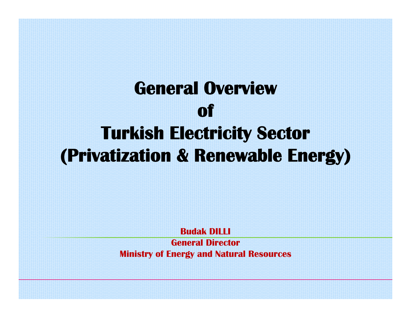# **General Overviewof Turkish Electricity Sector (Privatization & Renewable Energy)**

**Budak DILLI**

**General DirectorMinistry of Energy and Natural Resources**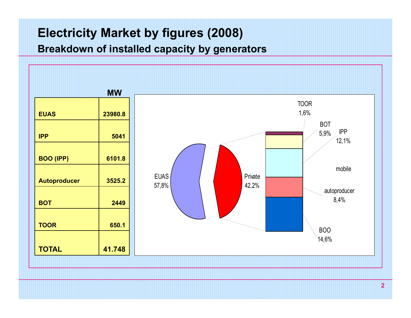## **Electricity Market by figures (2008)**

**Breakdown of installed capacity by generators**

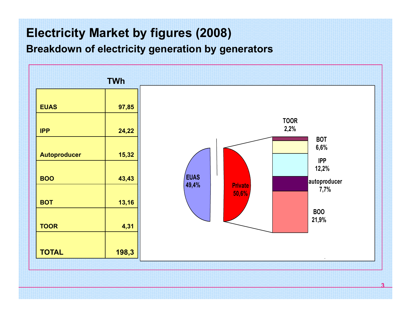## **Electricity Market by figures (2008)**

**Breakdown of electricity generation by generators**

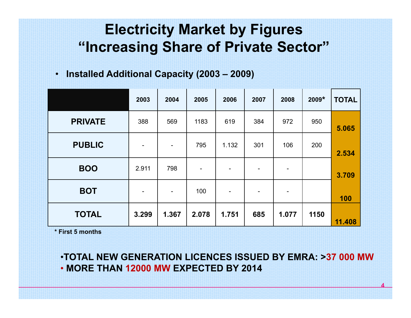# **Electricity Market by Figures "Increasing Share of Private Sector"**

• **Installed Additional Capacity (2003 – 2009)** 

|                | 2003                     | 2004                         | 2005                         | 2006                     | 2007 | 2008  | $2009*$ | <b>TOTAL</b> |
|----------------|--------------------------|------------------------------|------------------------------|--------------------------|------|-------|---------|--------------|
| <b>PRIVATE</b> | 388                      | 569                          | 1183                         | 619                      | 384  | 972   | 950     | 5.065        |
| <b>PUBLIC</b>  | $\overline{\phantom{a}}$ | $\qquad \qquad \blacksquare$ | 795                          | 1.132                    | 301  | 106   | 200     | 2.534        |
| <b>BOO</b>     | 2.911                    | 798                          | $\qquad \qquad \blacksquare$ | -                        | -    | -     |         | 3.709        |
| <b>BOT</b>     | $\overline{\phantom{a}}$ | $\overline{\phantom{a}}$     | 100                          | $\overline{\phantom{0}}$ | -    | -     |         | 100          |
| <b>TOTAL</b>   | 3.299                    | 1.367                        | 2.078                        | 1.751                    | 685  | 1.077 | 1150    | 11.408       |

**\* First 5 months**

•**TOTAL NEW GENERATION LICENCES ISSUED BY EMRA: >37 000 MW**• **MORE THAN 12000 MW EXPECTED BY 2014**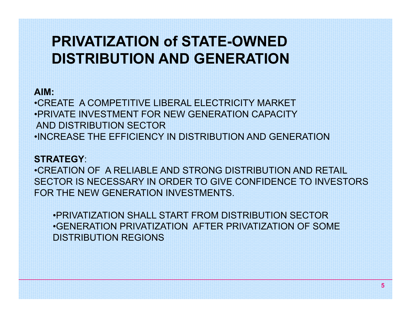# **PRIVATIZATION of STATE-OWNED DISTRIBUTION AND GENERATION**

#### **AIM:**

•CREATE A COMPETITIVE LIBERAL ELECTRICITY MARKET•PRIVATE INVESTMENT FOR NEW GENERATION CAPACITYAND DISTRIBUTION SECTOR•INCREASE THE EFFICIENCY IN DISTRIBUTION AND GENERATION

#### **STRATEGY**:

•CREATION OF A RELIABLE AND STRONG DISTRIBUTION AND RETAIL SECTOR IS NECESSARY IN ORDER TO GIVE CONFIDENCE TO INVESTORS FOR THE NEW GENERATION INVESTMENTS.

•PRIVATIZATION SHALL START FROM DISTRIBUTION SECTOR•GENERATION PRIVATIZATION AFTER PRIVATIZATION OF SOME DISTRIBUTION REGIONS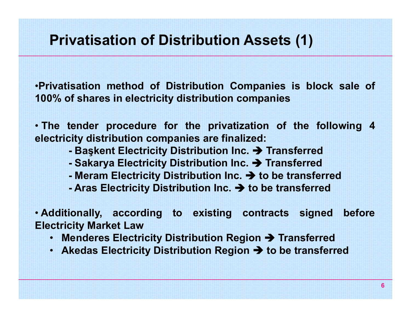•**Privatisation method of Distribution Companies is block sale of 100% of shares in electricity distribution companies**

• **The tender procedure for the privatization of the following 4 electricity distribution companies are finalized:**

- **⊦** Başkent Electricity Distribution Inc. → Transferred
- **Sakarya Electricity Distribution Inc. → Transferred**
- **- Meram Electricity Distribution Inc.** Î **to be transferred**
- **- Aras Electricity Distribution Inc.** Î **to be transferred**

• **Additionally, according to existing contracts signed before Electricity Market Law**

- **Menderes Electricity Distribution Region** Î **Transferred**
- **Akedas Electricity Distribution Region** Î **to be transferred**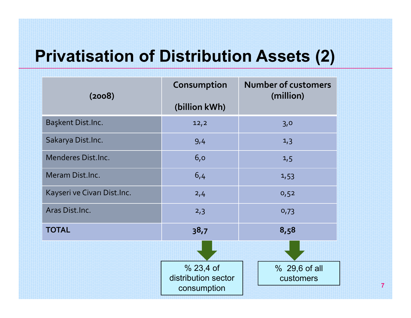# **Privatisation of Distribution Assets (2)**

| (2008)                      | Consumption<br>(billion kWh)                    | <b>Number of customers</b><br>(million) |
|-----------------------------|-------------------------------------------------|-----------------------------------------|
| Başkent Dist.Inc.           | 12,2                                            | 3,0                                     |
| Sakarya Dist.Inc.           | 9,4                                             | 1,3                                     |
| <b>Menderes Dist.Inc.</b>   | 6,0                                             | 1,5                                     |
| Meram Dist.Inc.             | 6,4                                             | 1,53                                    |
| Kayseri ve Civarı Dist.Inc. | 2,4                                             | 0,52                                    |
| Aras Dist.Inc.              | 2,3                                             | 0,73                                    |
| <b>TOTAL</b>                | 38,7                                            | 8,58                                    |
|                             |                                                 |                                         |
|                             | % 23,4 of<br>distribution sector<br>consumption | % 29,6 of all<br>customers              |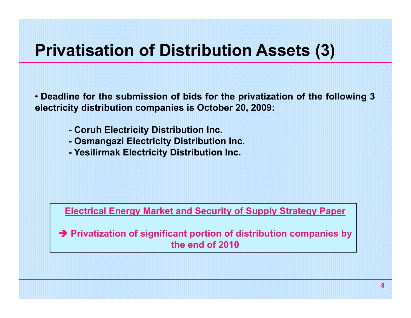# **Privatisation of Distribution Assets (3)**

• Deadline for the submission of bids for the privatization of the following 3 **electricity distribution companies is October 20, 2009:**

- **- Coruh Electricity Distribution Inc.**
- **- Osmangazi Electricity Distribution Inc.**
- **- Yesilirmak Electricity Distribution Inc.**

**Electrical Energy Market and Security of Supply Strategy Paper**

Î **Privatization of significant portion of distribution companies by the end of 2010**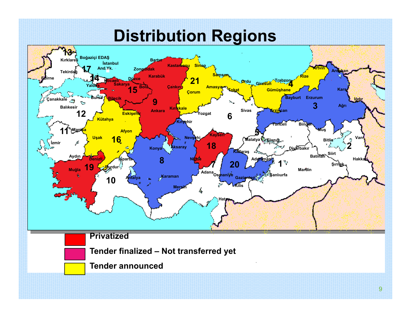# **Distribution Regions**

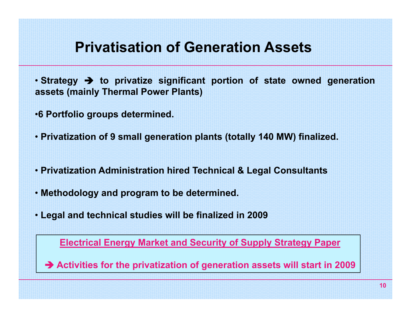# **Privatisation of Generation Assets**

- **Strategy** Î **to privatize significant portion of state owned generation assets (mainly Thermal Power Plants)**
- •**6 Portfolio groups determined.**
- **Privatization of 9 small generation plants (totally 140 MW) finalized.**
- **Privatization Administration hired Technical & Legal Consultants**
- **Methodology and program to be determined.**
- **Legal and technical studies will be finalized in 2009**

**Electrical Energy Market and Security of Supply Strategy Paper**

Î **Activities for the privatization of generation assets will start in 2009**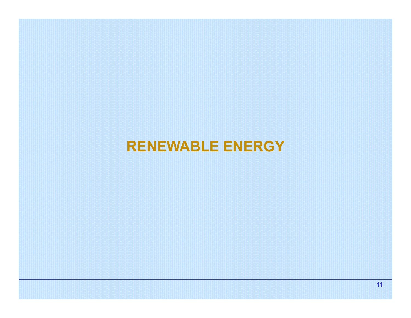## **RENEWABLE ENERGY**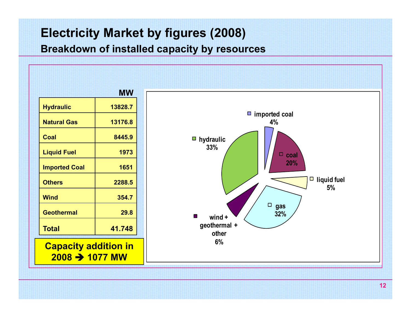## **Electricity Market by figures (2008)**

#### **Breakdown of installed capacity by resources**

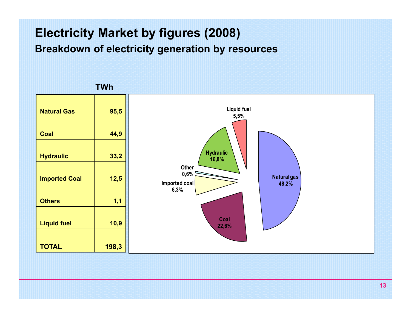## **Electricity Market by figures (2008)**

**Breakdown of electricity generation by resources**



**TWh**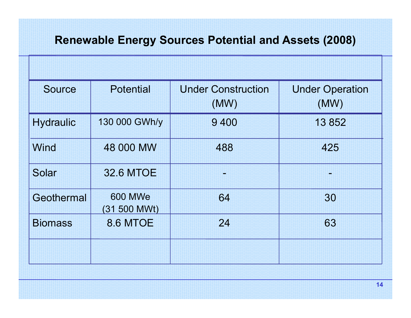### **Renewable Energy Sources Potential and Assets (2008)**

| <b>Source</b>    | <b>Potential</b>               | <b>Under Construction</b><br>(MW) | <b>Under Operation</b><br>(MW) |
|------------------|--------------------------------|-----------------------------------|--------------------------------|
| <b>Hydraulic</b> | 130 000 GWh/y                  | 9 4 0 0                           | 13852                          |
| <b>Wind</b>      | 48 000 MW                      | 488                               | 425                            |
| Solar            | <b>32.6 MTOE</b>               |                                   |                                |
| Geothermal       | <b>600 MWe</b><br>(31 500 MWt) | 64                                | 30                             |
| <b>Biomass</b>   | <b>8.6 MTOE</b>                | 24                                | 63                             |
|                  |                                |                                   |                                |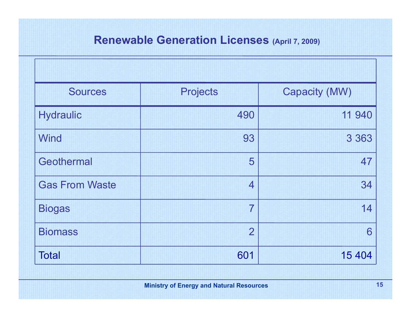#### **Renewable Generation Licenses (April 7, 2009)**

| <b>Sources</b>        | <b>Projects</b> | <b>Capacity (MW)</b> |
|-----------------------|-----------------|----------------------|
| <b>Hydraulic</b>      | 490             | 11 940               |
| <b>Wind</b>           | 93              | 3 3 6 3              |
| Geothermal            | 5               | 47                   |
| <b>Gas From Waste</b> | $\overline{4}$  | 34                   |
| <b>Biogas</b>         | 7               | 14                   |
| <b>Biomass</b>        | $\overline{2}$  | 6                    |
| <b>Total</b>          | 601             | 15 4 04              |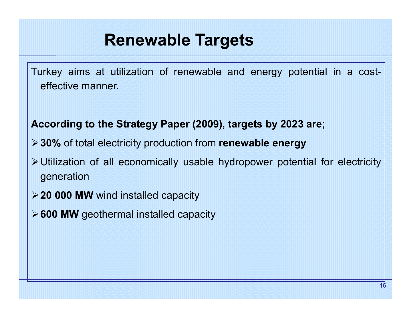# **Renewable Targets**

Turkey aims at utilization of renewable and energy potential in <sup>a</sup> costeffective manner.

**According to the Strategy Paper (2009), targets by 2023 are**;

- ¾**30%** of total electricity production from **renewable energy**
- ¾Utilization of all economically usable hydropower potential for electricity generation
- ¾**20 000 MW** wind installed capacity
- ¾**600 MW** geothermal installed capacity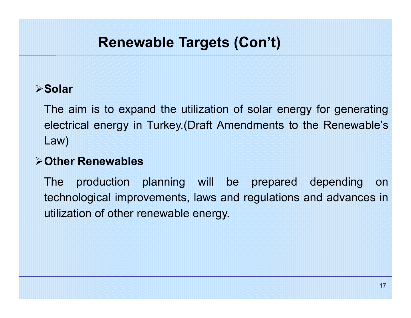# **Renewable Targets (Con't)**

### ¾**Solar**

The aim is to expand the utilization of solar energy for generating electrical energy in Turkey.(Draft Amendments to the Renewable's Law)

### ¾**Other Renewables**

The production planning will be prepared depending on technological improvements, laws and regulations and advances in utilization of other renewable energy.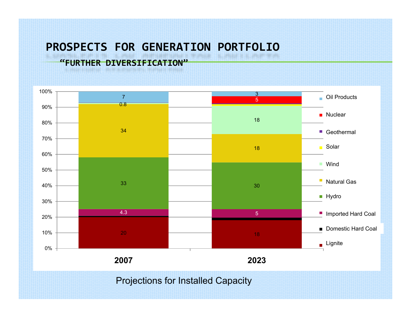### **PROSPECTS FOR GENERATION PORTFOLIO**

#### **"FURTHER DIVERSIFICATION"**



Projections for Installed Capacity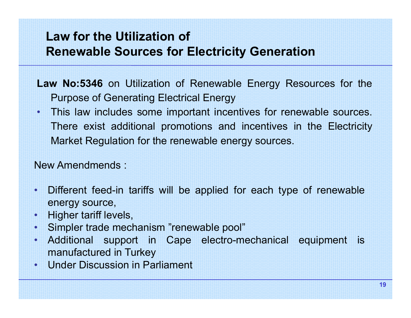## **Law for the Utilization of Renewable Sources for Electricity Generation**

- **Law No:5346** on Utilization of Renewable Energy Resources for the Purpose of Generating Electrical Energy
- • This law includes some important incentives for renewable sources. There exist additional promotions and incentives in the Electricity Market Regulation for the renewable energy sources.

New Amendmends :

- • Different feed-in tariffs will be applied for each type of renewable energy source,
- •Higher tariff levels,
- •Simpler trade mechanism "renewable pool"
- • Additional support in Cape electro-mechanical equipment is manufactured in Turkey
- •Under Discussion in Parliament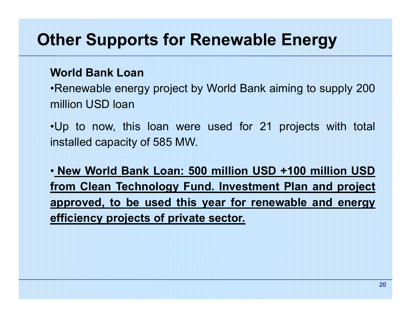# **Other Supports for Renewable Energy**

#### **World Bank Loan**

•Renewable energy project by World Bank aiming to supply 200 million USD loan

•Up to now, this loan were used for 21 projects with total installed capacity of 585 MW.

• **New World Bank Loan: 500 million USD +100 million USD from Clean Technology Fund. Investment Plan and project approved, to be used this year for renewable and energy efficiency projects of private sector.**